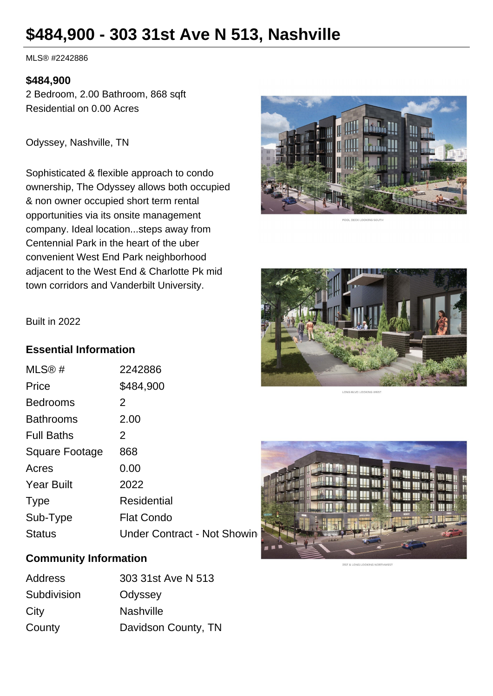# **\$484,900 - 303 31st Ave N 513, Nashville**

MLS® #2242886

#### **\$484,900**

2 Bedroom, 2.00 Bathroom, 868 sqft Residential on 0.00 Acres

Odyssey, Nashville, TN

Sophisticated & flexible approach to condo ownership, The Odyssey allows both occupied & non owner occupied short term rental opportunities via its onsite management company. Ideal location...steps away from Centennial Park in the heart of the uber convenient West End Park neighborhood adjacent to the West End & Charlotte Pk mid town corridors and Vanderbilt University.









### **Essential Information**

| MLS@#             | 2242886                     |
|-------------------|-----------------------------|
| Price             | \$484,900                   |
| <b>Bedrooms</b>   | 2                           |
| <b>Bathrooms</b>  | 2.00                        |
| <b>Full Baths</b> | 2                           |
| Square Footage    | 868                         |
| Acres             | 0.00                        |
| <b>Year Built</b> | 2022                        |
| <b>Type</b>       | Residential                 |
| Sub-Type          | <b>Flat Condo</b>           |
| <b>Status</b>     | Under Contract - Not Showin |

# **Community Information**

| Address     | 303 31st Ave N 513  |
|-------------|---------------------|
| Subdivision | Odyssey             |
| City        | <b>Nashville</b>    |
| County      | Davidson County, TN |